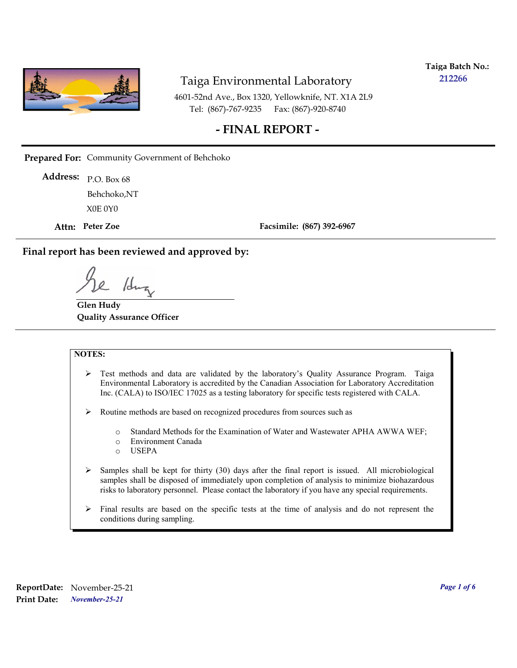

**Taiga Batch No.: 212266**

4601-52nd Ave., Box 1320, Yellowknife, NT. X1A 2L9 Tel: (867)-767-9235 Fax: (867)-920-8740

#### **- FINAL REPORT -**

**Prepared For:** Community Government of Behchoko

P.O. Box 68 **Address:** X0E 0Y0 Behchoko,NT

**Attn: Peter Zoe**

**Facsimile: (867) 392-6967**

**Final report has been reviewed and approved by:**

/dr

**Glen Hudy Quality Assurance Officer**

#### **NOTES:**

- $\triangleright$  Test methods and data are validated by the laboratory's Quality Assurance Program. Taiga Environmental Laboratory is accredited by the Canadian Association for Laboratory Accreditation Inc. (CALA) to ISO/IEC 17025 as a testing laboratory for specific tests registered with CALA.
- Routine methods are based on recognized procedures from sources such as
	- o Standard Methods for the Examination of Water and Wastewater APHA AWWA WEF;
	- o Environment Canada
	- o USEPA
- $\triangleright$  Samples shall be kept for thirty (30) days after the final report is issued. All microbiological samples shall be disposed of immediately upon completion of analysis to minimize biohazardous risks to laboratory personnel. Please contact the laboratory if you have any special requirements.
- $\triangleright$  Final results are based on the specific tests at the time of analysis and do not represent the conditions during sampling.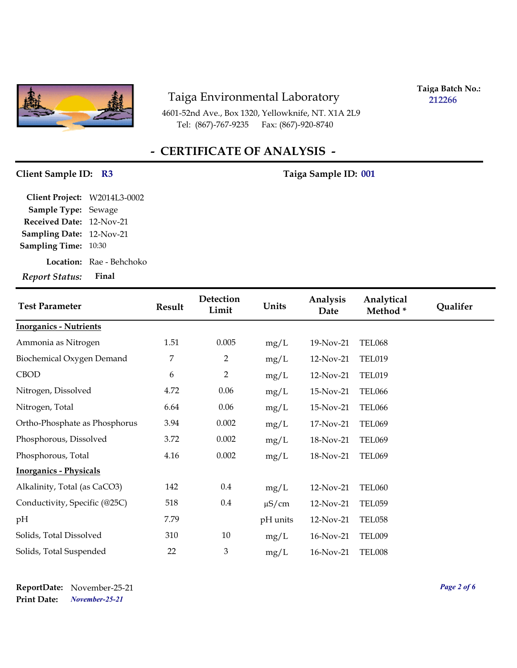

4601-52nd Ave., Box 1320, Yellowknife, NT. X1A 2L9 Tel: (867)-767-9235 Fax: (867)-920-8740

**Taiga Batch No.: 212266**

# **- CERTIFICATE OF ANALYSIS -**

#### Client Sample ID: R3 Taiga Sample ID: 001

| Report Status: Final         |                          |
|------------------------------|--------------------------|
|                              | Location: Rae - Behchoko |
| <b>Sampling Time: 10:30</b>  |                          |
| Sampling Date: 12-Nov-21     |                          |
| Received Date: 12-Nov-21     |                          |
| Sample Type: Sewage          |                          |
| Client Project: W2014L3-0002 |                          |

| <b>Test Parameter</b>         | <b>Result</b> | Detection<br>Limit | Units      | Analysis<br>Date | Analytical<br>Method* | Qualifer |
|-------------------------------|---------------|--------------------|------------|------------------|-----------------------|----------|
| <b>Inorganics - Nutrients</b> |               |                    |            |                  |                       |          |
| Ammonia as Nitrogen           | 1.51          | 0.005              | mg/L       | 19-Nov-21        | <b>TEL068</b>         |          |
| Biochemical Oxygen Demand     | 7             | 2                  | mg/L       | 12-Nov-21        | <b>TEL019</b>         |          |
| <b>CBOD</b>                   | 6             | $\overline{2}$     | mg/L       | 12-Nov-21        | <b>TEL019</b>         |          |
| Nitrogen, Dissolved           | 4.72          | 0.06               | mg/L       | 15-Nov-21        | <b>TEL066</b>         |          |
| Nitrogen, Total               | 6.64          | 0.06               | mg/L       | 15-Nov-21        | <b>TEL066</b>         |          |
| Ortho-Phosphate as Phosphorus | 3.94          | 0.002              | mg/L       | 17-Nov-21        | <b>TEL069</b>         |          |
| Phosphorous, Dissolved        | 3.72          | 0.002              | mg/L       | 18-Nov-21        | <b>TEL069</b>         |          |
| Phosphorous, Total            | 4.16          | 0.002              | mg/L       | 18-Nov-21        | <b>TEL069</b>         |          |
| <b>Inorganics - Physicals</b> |               |                    |            |                  |                       |          |
| Alkalinity, Total (as CaCO3)  | 142           | 0.4                | mg/L       | 12-Nov-21        | <b>TEL060</b>         |          |
| Conductivity, Specific (@25C) | 518           | 0.4                | $\mu$ S/cm | 12-Nov-21        | <b>TEL059</b>         |          |
| pH                            | 7.79          |                    | pH units   | 12-Nov-21        | <b>TEL058</b>         |          |
| Solids, Total Dissolved       | 310           | 10                 | mg/L       | 16-Nov-21        | <b>TEL009</b>         |          |
| Solids, Total Suspended       | 22            | 3                  | mg/L       | 16-Nov-21        | <b>TEL008</b>         |          |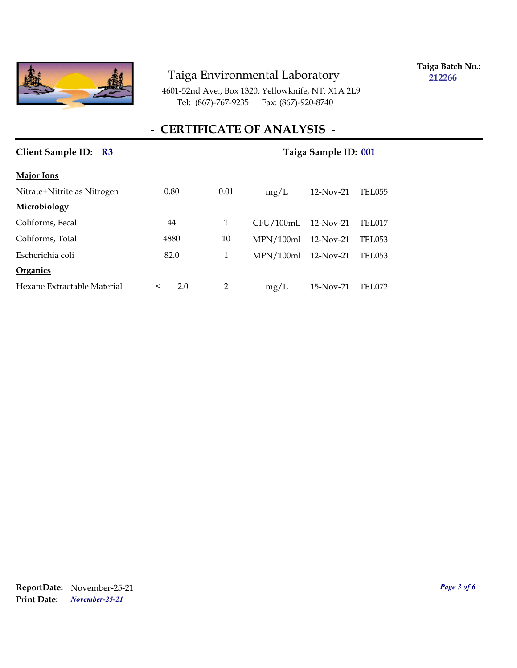

**Taiga Batch No.: 212266**

4601-52nd Ave., Box 1320, Yellowknife, NT. X1A 2L9 Tel: (867)-767-9235 Fax: (867)-920-8740

## **- CERTIFICATE OF ANALYSIS -**

| Client Sample ID: R3        |                | Taiga Sample ID: 001 |                     |              |               |
|-----------------------------|----------------|----------------------|---------------------|--------------|---------------|
| <b>Major Ions</b>           |                |                      |                     |              |               |
| Nitrate+Nitrite as Nitrogen | 0.80           | 0.01                 | mg/L                | $12$ -Nov-21 | <b>TEL055</b> |
| Microbiology                |                |                      |                     |              |               |
| Coliforms, Fecal            | 44             | 1                    | CFU/100mL           | $12$ -Nov-21 | TEL017        |
| Coliforms, Total            | 4880           | 10                   | MPN/100ml           | 12-Nov-21    | <b>TEL053</b> |
| Escherichia coli            | 82.0           | $\mathbf{1}$         | MPN/100ml 12-Nov-21 |              | TEL053        |
| Organics                    |                |                      |                     |              |               |
| Hexane Extractable Material | 2.0<br>$\,<\,$ | 2                    | mg/L                | $15-Nov-21$  | <b>TEL072</b> |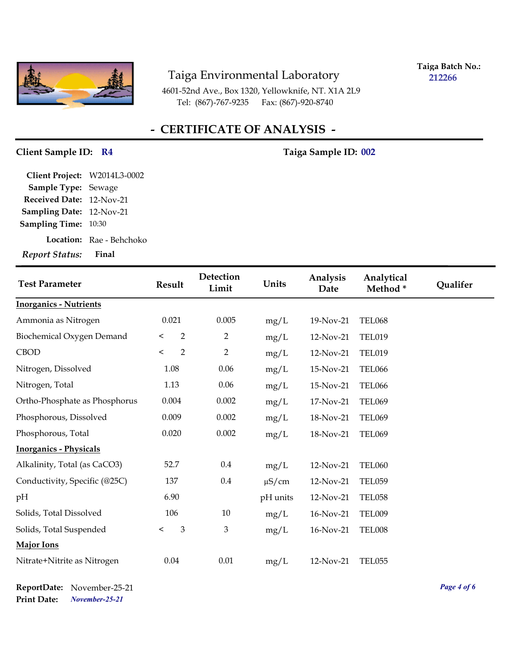

**Taiga Batch No.: 212266**

4601-52nd Ave., Box 1320, Yellowknife, NT. X1A 2L9 Tel: (867)-767-9235 Fax: (867)-920-8740

## **- CERTIFICATE OF ANALYSIS -**

#### Client Sample ID: R4 Taiga Sample ID: 002

| Client Project: W2014L3-0002    |                          |
|---------------------------------|--------------------------|
| Sample Type: Sewage             |                          |
| <b>Received Date: 12-Nov-21</b> |                          |
| Sampling Date: 12-Nov-21        |                          |
| <b>Sampling Time: 10:30</b>     |                          |
|                                 | Location: Rae - Behchoko |
| Report Status:                  | Final                    |

| <b>Test Parameter</b>         | <b>Result</b>             | Detection<br>Limit | Units      | Analysis<br>Date | Analytical<br>Method* | Qualifer |
|-------------------------------|---------------------------|--------------------|------------|------------------|-----------------------|----------|
| <b>Inorganics - Nutrients</b> |                           |                    |            |                  |                       |          |
| Ammonia as Nitrogen           | 0.021                     | 0.005              | mg/L       | 19-Nov-21        | <b>TEL068</b>         |          |
| Biochemical Oxygen Demand     | 2<br>$\,<\,$              | $\overline{2}$     | mg/L       | 12-Nov-21        | <b>TEL019</b>         |          |
| <b>CBOD</b>                   | $\overline{2}$<br>$\,<\,$ | $\overline{2}$     | mg/L       | 12-Nov-21        | <b>TEL019</b>         |          |
| Nitrogen, Dissolved           | 1.08                      | 0.06               | mg/L       | 15-Nov-21        | <b>TEL066</b>         |          |
| Nitrogen, Total               | 1.13                      | 0.06               | mg/L       | 15-Nov-21        | <b>TEL066</b>         |          |
| Ortho-Phosphate as Phosphorus | 0.004                     | 0.002              | mg/L       | 17-Nov-21        | <b>TEL069</b>         |          |
| Phosphorous, Dissolved        | 0.009                     | 0.002              | mg/L       | 18-Nov-21        | <b>TEL069</b>         |          |
| Phosphorous, Total            | 0.020                     | 0.002              | mg/L       | 18-Nov-21        | <b>TEL069</b>         |          |
| <b>Inorganics - Physicals</b> |                           |                    |            |                  |                       |          |
| Alkalinity, Total (as CaCO3)  | 52.7                      | $0.4\,$            | mg/L       | 12-Nov-21        | <b>TEL060</b>         |          |
| Conductivity, Specific (@25C) | 137                       | 0.4                | $\mu$ S/cm | 12-Nov-21        | <b>TEL059</b>         |          |
| pH                            | 6.90                      |                    | pH units   | 12-Nov-21        | <b>TEL058</b>         |          |
| Solids, Total Dissolved       | 106                       | 10                 | mg/L       | 16-Nov-21        | TEL009                |          |
| Solids, Total Suspended       | 3<br>$\,<\,$              | $\mathfrak{Z}$     | mg/L       | 16-Nov-21        | <b>TEL008</b>         |          |
| Major Ions                    |                           |                    |            |                  |                       |          |
| Nitrate+Nitrite as Nitrogen   | 0.04                      | 0.01               | mg/L       | 12-Nov-21        | TEL055                |          |

*November-25-21* **Print Date: ReportDate:** November-25-21 *Page 4 of 6*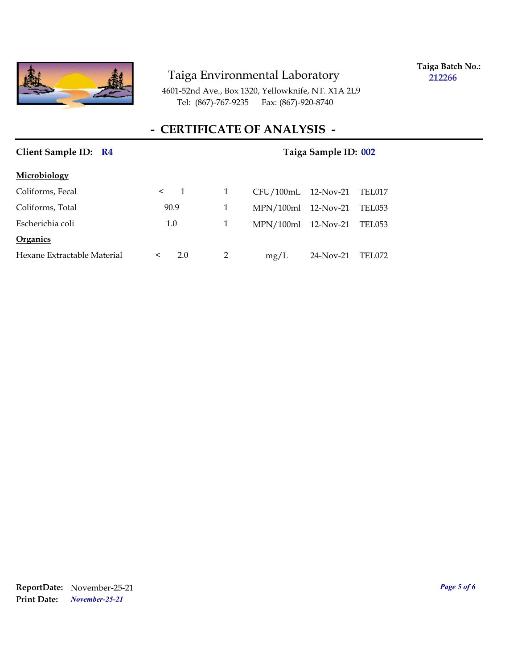

**Taiga Batch No.: 212266**

4601-52nd Ave., Box 1320, Yellowknife, NT. X1A 2L9 Tel: (867)-767-9235 Fax: (867)-920-8740

## **- CERTIFICATE OF ANALYSIS -**

| Client Sample ID: R4        | Taiga Sample ID: 002      |   |                                 |  |
|-----------------------------|---------------------------|---|---------------------------------|--|
| Microbiology                |                           |   |                                 |  |
| Coliforms, Fecal            | $\overline{1}$<br>$\prec$ | 1 | $CFU/100mL$ 12-Nov-21<br>TEL017 |  |
| Coliforms, Total            | 90.9                      | 1 | MPN/100ml 12-Nov-21<br>TEL053   |  |
| Escherichia coli            | 1.0                       | 1 | MPN/100ml 12-Nov-21<br>TEL053   |  |
| Organics                    |                           |   |                                 |  |
| Hexane Extractable Material | 2.0<br>$\,<\,$            | 2 | 24-Nov-21<br>mg/L<br>TEL072     |  |